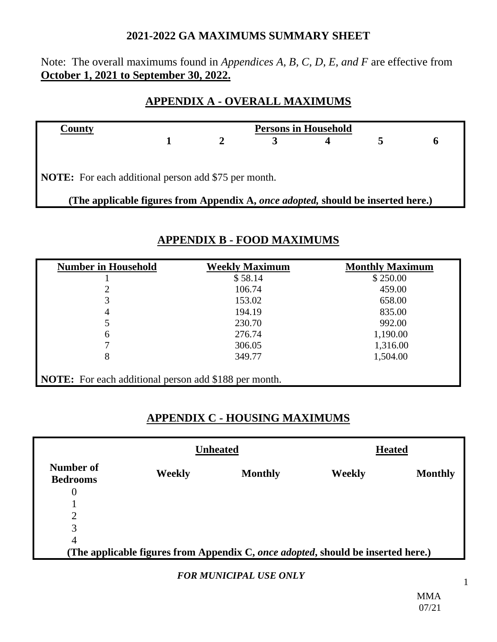#### **2021-2022 GA MAXIMUMS SUMMARY SHEET**

### Note: The overall maximums found in *Appendices A, B, C, D, E, and F* are effective from **October 1, 2021 to September 30, 2022.**

## **APPENDIX A - OVERALL MAXIMUMS**

| County                                                                                   |  | <b>Persons in Household</b> |  |  |  |  |
|------------------------------------------------------------------------------------------|--|-----------------------------|--|--|--|--|
|                                                                                          |  |                             |  |  |  |  |
|                                                                                          |  |                             |  |  |  |  |
| <b>NOTE:</b> For each additional person add \$75 per month.                              |  |                             |  |  |  |  |
| (The applicable figures from Appendix A, <i>once adopted</i> , should be inserted here.) |  |                             |  |  |  |  |

| <b>Number in Household</b> | <b>Weekly Maximum</b> | <b>Monthly Maximum</b> |
|----------------------------|-----------------------|------------------------|
|                            | \$58.14               | \$250.00               |
| 2                          | 106.74                | 459.00                 |
| 3                          | 153.02                | 658.00                 |
| 4                          | 194.19                | 835.00                 |
| 5                          | 230.70                | 992.00                 |
| 6                          | 276.74                | 1,190.00               |
|                            | 306.05                | 1,316.00               |
| 8                          | 349.77                | 1,504.00               |

# **APPENDIX B - FOOD MAXIMUMS**

## **APPENDIX C - HOUSING MAXIMUMS**

|                              |               | <b>Unheated</b>                                                                  |        | <b>Heated</b>  |
|------------------------------|---------------|----------------------------------------------------------------------------------|--------|----------------|
| Number of<br><b>Bedrooms</b> | <b>Weekly</b> | <b>Monthly</b>                                                                   | Weekly | <b>Monthly</b> |
| 0                            |               |                                                                                  |        |                |
|                              |               |                                                                                  |        |                |
| C<br>∠                       |               |                                                                                  |        |                |
| 3                            |               |                                                                                  |        |                |
| $\overline{4}$               |               |                                                                                  |        |                |
|                              |               | (The applicable figures from Appendix C, once adopted, should be inserted here.) |        |                |

#### *FOR MUNICIPAL USE ONLY*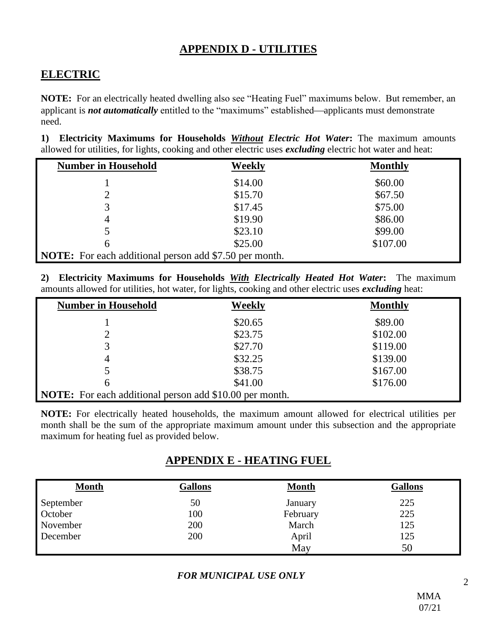## **APPENDIX D - UTILITIES**

# **ELECTRIC**

**NOTE:** For an electrically heated dwelling also see "Heating Fuel" maximums below. But remember, an applicant is **not automatically** entitled to the "maximums" established—applicants must demonstrate need.

**1) Electricity Maximums for Households** *Without Electric Hot Water***:** The maximum amounts allowed for utilities, for lights, cooking and other electric uses *excluding* electric hot water and heat:

| <b>Number in Household</b>                                    | Weekly  | <b>Monthly</b> |
|---------------------------------------------------------------|---------|----------------|
|                                                               | \$14.00 | \$60.00        |
| 2                                                             | \$15.70 | \$67.50        |
| 3                                                             | \$17.45 | \$75.00        |
| 4                                                             | \$19.90 | \$86.00        |
| 5                                                             | \$23.10 | \$99.00        |
| 6                                                             | \$25.00 | \$107.00       |
| <b>NOTE:</b> For each additional person add \$7.50 per month. |         |                |

**2) Electricity Maximums for Households** *With Electrically Heated Hot Water***:** The maximum amounts allowed for utilities, hot water, for lights, cooking and other electric uses *excluding* heat:

| <b>Number in Household</b>                                     | Weekly  | <b>Monthly</b> |  |
|----------------------------------------------------------------|---------|----------------|--|
|                                                                | \$20.65 | \$89.00        |  |
| 2                                                              | \$23.75 | \$102.00       |  |
| 3                                                              | \$27.70 | \$119.00       |  |
|                                                                | \$32.25 | \$139.00       |  |
| 5                                                              | \$38.75 | \$167.00       |  |
| 6                                                              | \$41.00 | \$176.00       |  |
| <b>NOTE:</b> For each additional person add \$10.00 per month. |         |                |  |

**NOTE:** For electrically heated households, the maximum amount allowed for electrical utilities per month shall be the sum of the appropriate maximum amount under this subsection and the appropriate maximum for heating fuel as provided below.

## **APPENDIX E - HEATING FUEL**

| <b>Month</b> | <b>Gallons</b> | <b>Month</b> | <b>Gallons</b> |
|--------------|----------------|--------------|----------------|
| September    | 50             | January      | 225            |
| October      | 100            | February     | 225            |
| November     | 200            | March        | 125            |
| December     | 200            | April        | 125            |
|              |                | May          | 50             |

*FOR MUNICIPAL USE ONLY*